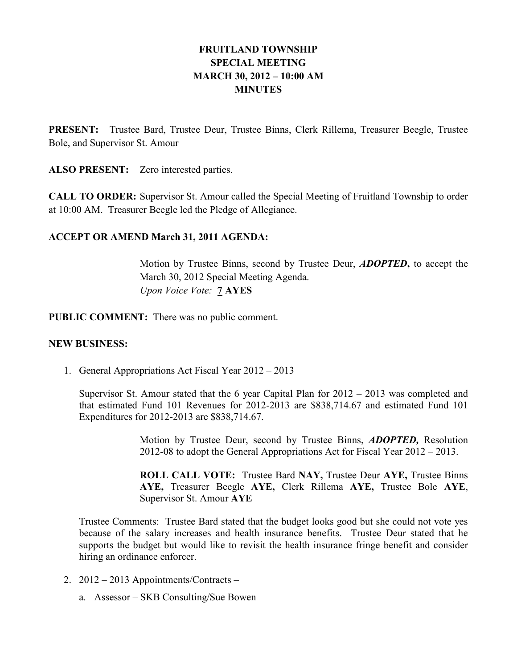# FRUITLAND TOWNSHIP SPECIAL MEETING MARCH 30, 2012 – 10:00 AM **MINUTES**

PRESENT: Trustee Bard, Trustee Deur, Trustee Binns, Clerk Rillema, Treasurer Beegle, Trustee Bole, and Supervisor St. Amour

ALSO PRESENT: Zero interested parties.

CALL TO ORDER: Supervisor St. Amour called the Special Meeting of Fruitland Township to order at 10:00 AM. Treasurer Beegle led the Pledge of Allegiance.

## ACCEPT OR AMEND March 31, 2011 AGENDA:

Motion by Trustee Binns, second by Trustee Deur, **ADOPTED**, to accept the March 30, 2012 Special Meeting Agenda. Upon Voice Vote: 7 AYES

PUBLIC COMMENT: There was no public comment.

## NEW BUSINESS:

1. General Appropriations Act Fiscal Year 2012 – 2013

Supervisor St. Amour stated that the 6 year Capital Plan for 2012 – 2013 was completed and that estimated Fund 101 Revenues for 2012-2013 are \$838,714.67 and estimated Fund 101 Expenditures for 2012-2013 are \$838,714.67.

> Motion by Trustee Deur, second by Trustee Binns, ADOPTED, Resolution 2012-08 to adopt the General Appropriations Act for Fiscal Year 2012 – 2013.

> ROLL CALL VOTE: Trustee Bard NAY, Trustee Deur AYE, Trustee Binns AYE, Treasurer Beegle AYE, Clerk Rillema AYE, Trustee Bole AYE, Supervisor St. Amour AYE

Trustee Comments: Trustee Bard stated that the budget looks good but she could not vote yes because of the salary increases and health insurance benefits. Trustee Deur stated that he supports the budget but would like to revisit the health insurance fringe benefit and consider hiring an ordinance enforcer.

- 2. 2012 2013 Appointments/Contracts
	- a. Assessor SKB Consulting/Sue Bowen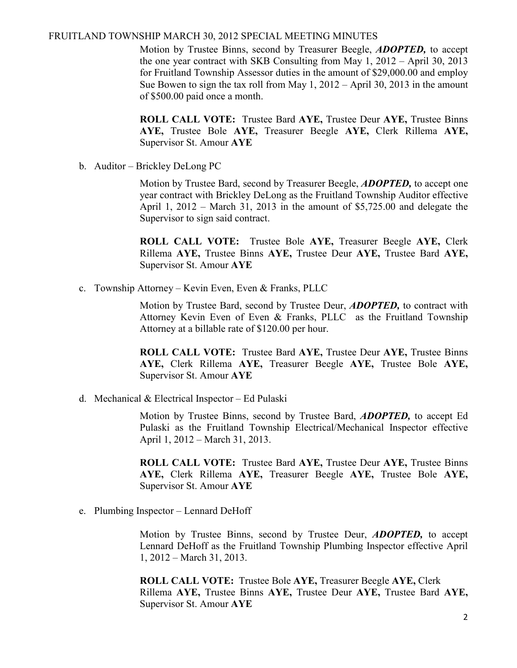Motion by Trustee Binns, second by Treasurer Beegle, **ADOPTED**, to accept the one year contract with SKB Consulting from May 1, 2012 – April 30, 2013 for Fruitland Township Assessor duties in the amount of \$29,000.00 and employ Sue Bowen to sign the tax roll from May 1, 2012 – April 30, 2013 in the amount of \$500.00 paid once a month.

ROLL CALL VOTE: Trustee Bard AYE, Trustee Deur AYE, Trustee Binns AYE, Trustee Bole AYE, Treasurer Beegle AYE, Clerk Rillema AYE, Supervisor St. Amour AYE

b. Auditor – Brickley DeLong PC

Motion by Trustee Bard, second by Treasurer Beegle, **ADOPTED**, to accept one year contract with Brickley DeLong as the Fruitland Township Auditor effective April 1, 2012 – March 31, 2013 in the amount of \$5,725.00 and delegate the Supervisor to sign said contract.

ROLL CALL VOTE: Trustee Bole AYE, Treasurer Beegle AYE, Clerk Rillema AYE, Trustee Binns AYE, Trustee Deur AYE, Trustee Bard AYE, Supervisor St. Amour AYE

c. Township Attorney – Kevin Even, Even & Franks, PLLC

Motion by Trustee Bard, second by Trustee Deur, **ADOPTED**, to contract with Attorney Kevin Even of Even & Franks, PLLC as the Fruitland Township Attorney at a billable rate of \$120.00 per hour.

ROLL CALL VOTE: Trustee Bard AYE, Trustee Deur AYE, Trustee Binns AYE, Clerk Rillema AYE, Treasurer Beegle AYE, Trustee Bole AYE, Supervisor St. Amour AYE

d. Mechanical & Electrical Inspector – Ed Pulaski

Motion by Trustee Binns, second by Trustee Bard, **ADOPTED**, to accept Ed Pulaski as the Fruitland Township Electrical/Mechanical Inspector effective April 1, 2012 – March 31, 2013.

ROLL CALL VOTE: Trustee Bard AYE, Trustee Deur AYE, Trustee Binns AYE, Clerk Rillema AYE, Treasurer Beegle AYE, Trustee Bole AYE, Supervisor St. Amour AYE

e. Plumbing Inspector – Lennard DeHoff

Motion by Trustee Binns, second by Trustee Deur, ADOPTED, to accept Lennard DeHoff as the Fruitland Township Plumbing Inspector effective April 1, 2012 – March 31, 2013.

 ROLL CALL VOTE: Trustee Bole AYE, Treasurer Beegle AYE, Clerk Rillema AYE, Trustee Binns AYE, Trustee Deur AYE, Trustee Bard AYE, Supervisor St. Amour AYE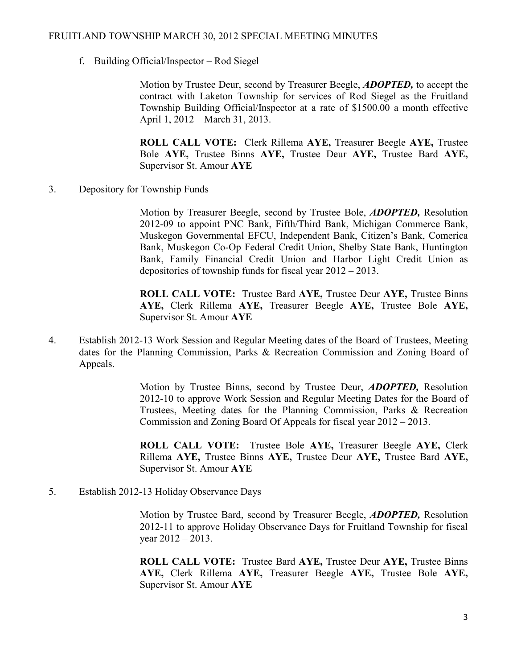f. Building Official/Inspector – Rod Siegel

Motion by Trustee Deur, second by Treasurer Beegle, **ADOPTED**, to accept the contract with Laketon Township for services of Rod Siegel as the Fruitland Township Building Official/Inspector at a rate of \$1500.00 a month effective April 1, 2012 – March 31, 2013.

ROLL CALL VOTE: Clerk Rillema AYE, Treasurer Beegle AYE, Trustee Bole AYE, Trustee Binns AYE, Trustee Deur AYE, Trustee Bard AYE, Supervisor St. Amour AYE

3. Depository for Township Funds

Motion by Treasurer Beegle, second by Trustee Bole, ADOPTED, Resolution 2012-09 to appoint PNC Bank, Fifth/Third Bank, Michigan Commerce Bank, Muskegon Governmental EFCU, Independent Bank, Citizen's Bank, Comerica Bank, Muskegon Co-Op Federal Credit Union, Shelby State Bank, Huntington Bank, Family Financial Credit Union and Harbor Light Credit Union as depositories of township funds for fiscal year 2012 – 2013.

ROLL CALL VOTE: Trustee Bard AYE, Trustee Deur AYE, Trustee Binns AYE, Clerk Rillema AYE, Treasurer Beegle AYE, Trustee Bole AYE, Supervisor St. Amour AYE

4. Establish 2012-13 Work Session and Regular Meeting dates of the Board of Trustees, Meeting dates for the Planning Commission, Parks & Recreation Commission and Zoning Board of Appeals.

> Motion by Trustee Binns, second by Trustee Deur, **ADOPTED**, Resolution 2012-10 to approve Work Session and Regular Meeting Dates for the Board of Trustees, Meeting dates for the Planning Commission, Parks & Recreation Commission and Zoning Board Of Appeals for fiscal year 2012 – 2013.

> ROLL CALL VOTE: Trustee Bole AYE, Treasurer Beegle AYE, Clerk Rillema AYE, Trustee Binns AYE, Trustee Deur AYE, Trustee Bard AYE, Supervisor St. Amour AYE

5. Establish 2012-13 Holiday Observance Days

 Motion by Trustee Bard, second by Treasurer Beegle, ADOPTED, Resolution 2012-11 to approve Holiday Observance Days for Fruitland Township for fiscal year 2012 – 2013.

ROLL CALL VOTE: Trustee Bard AYE, Trustee Deur AYE, Trustee Binns AYE, Clerk Rillema AYE, Treasurer Beegle AYE, Trustee Bole AYE, Supervisor St. Amour AYE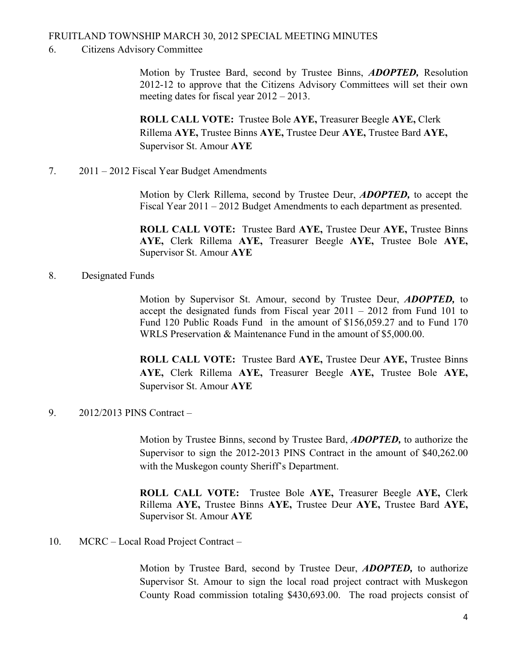#### 6. Citizens Advisory Committee

Motion by Trustee Bard, second by Trustee Binns, ADOPTED, Resolution 2012-12 to approve that the Citizens Advisory Committees will set their own meeting dates for fiscal year 2012 – 2013.

ROLL CALL VOTE: Trustee Bole AYE, Treasurer Beegle AYE, Clerk Rillema AYE, Trustee Binns AYE, Trustee Deur AYE, Trustee Bard AYE, Supervisor St. Amour AYE

7. 2011 – 2012 Fiscal Year Budget Amendments

 Motion by Clerk Rillema, second by Trustee Deur, ADOPTED, to accept the Fiscal Year 2011 – 2012 Budget Amendments to each department as presented.

ROLL CALL VOTE: Trustee Bard AYE, Trustee Deur AYE, Trustee Binns AYE, Clerk Rillema AYE, Treasurer Beegle AYE, Trustee Bole AYE, Supervisor St. Amour AYE

#### 8. Designated Funds

Motion by Supervisor St. Amour, second by Trustee Deur, ADOPTED, to accept the designated funds from Fiscal year 2011 – 2012 from Fund 101 to Fund 120 Public Roads Fund in the amount of \$156,059.27 and to Fund 170 WRLS Preservation & Maintenance Fund in the amount of \$5,000.00.

ROLL CALL VOTE: Trustee Bard AYE, Trustee Deur AYE, Trustee Binns AYE, Clerk Rillema AYE, Treasurer Beegle AYE, Trustee Bole AYE, Supervisor St. Amour AYE

9. 2012/2013 PINS Contract –

Motion by Trustee Binns, second by Trustee Bard, **ADOPTED**, to authorize the Supervisor to sign the 2012-2013 PINS Contract in the amount of \$40,262.00 with the Muskegon county Sheriff's Department.

ROLL CALL VOTE: Trustee Bole AYE, Treasurer Beegle AYE, Clerk Rillema AYE, Trustee Binns AYE, Trustee Deur AYE, Trustee Bard AYE, Supervisor St. Amour AYE

10. MCRC – Local Road Project Contract –

Motion by Trustee Bard, second by Trustee Deur, **ADOPTED**, to authorize Supervisor St. Amour to sign the local road project contract with Muskegon County Road commission totaling \$430,693.00. The road projects consist of